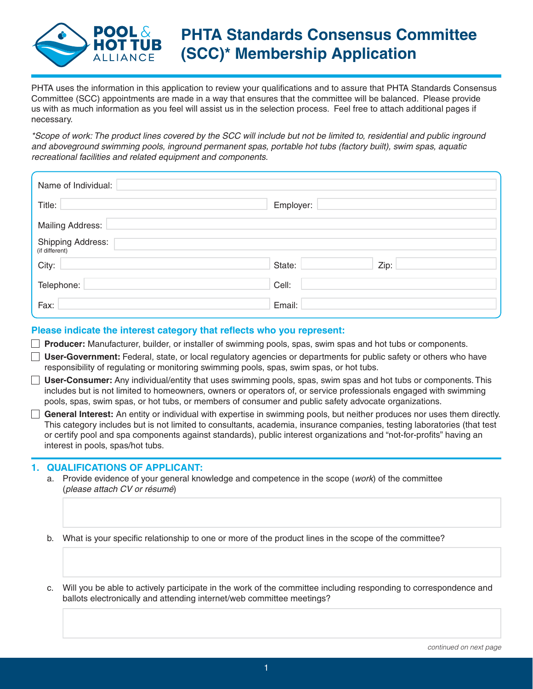

# **PHTA Standards Consensus Committee (SCC)\* Membership Application**

PHTA uses the information in this application to review your qualifications and to assure that PHTA Standards Consensus Committee (SCC) appointments are made in a way that ensures that the committee will be balanced. Please provide us with as much information as you feel will assist us in the selection process. Feel free to attach additional pages if necessary.

*\*Scope of work: The product lines covered by the SCC will include but not be limited to, residential and public inground and aboveground swimming pools, inground permanent spas, portable hot tubs (factory built), swim spas, aquatic recreational facilities and related equipment and components.* 

| Name of Individual:                        |                |  |  |  |
|--------------------------------------------|----------------|--|--|--|
| Title:                                     | Employer:      |  |  |  |
| <b>Mailing Address:</b>                    |                |  |  |  |
| <b>Shipping Address:</b><br>(if different) |                |  |  |  |
| City:                                      | Zip:<br>State: |  |  |  |
| Telephone:                                 | Cell:          |  |  |  |
| Fax:                                       | Email:         |  |  |  |

## **Please indicate the interest category that reflects who you represent:**

**Producer:** Manufacturer, builder, or installer of swimming pools, spas, swim spas and hot tubs or components.

- **User-Government:** Federal, state, or local regulatory agencies or departments for public safety or others who have responsibility of regulating or monitoring swimming pools, spas, swim spas, or hot tubs.
- **User-Consumer:** Any individual/entity that uses swimming pools, spas, swim spas and hot tubs or components. This includes but is not limited to homeowners, owners or operators of, or service professionals engaged with swimming pools, spas, swim spas, or hot tubs, or members of consumer and public safety advocate organizations.
- **General Interest:** An entity or individual with expertise in swimming pools, but neither produces nor uses them directly. This category includes but is not limited to consultants, academia, insurance companies, testing laboratories (that test or certify pool and spa components against standards), public interest organizations and "not-for-profits" having an interest in pools, spas/hot tubs.

#### **1. QUALIFICATIONS OF APPLICANT:**

a. Provide evidence of your general knowledge and competence in the scope (*work*) of the committee (*please attach CV or résumé*)

b. What is your specific relationship to one or more of the product lines in the scope of the committee?

c. Will you be able to actively participate in the work of the committee including responding to correspondence and ballots electronically and attending internet/web committee meetings?